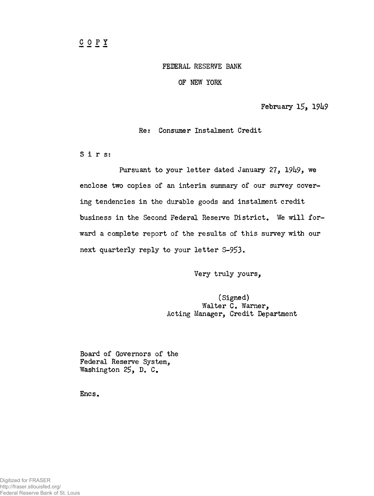## FEDERAL RESERVE BANK

OF NEW YORK

February 15, 19h9

Re: Consumer Instalment Credit

Sirs:

Pursuant to your letter dated January 27,  $1949$ , we enclose two copies of an interim summary of our survey covering tendencies in the durable goods and instalment credit business in the Second Federal Reserve District, We will forward a complete report of the results of this survey with our next quarterly reply to your letter S-95>3.

Very truly yours,

(Signed) Walter C. Warner, Acting Manager, Credit Department

Board of Governors of the Federal Reserve System, Washington 25, D. C.

Encs.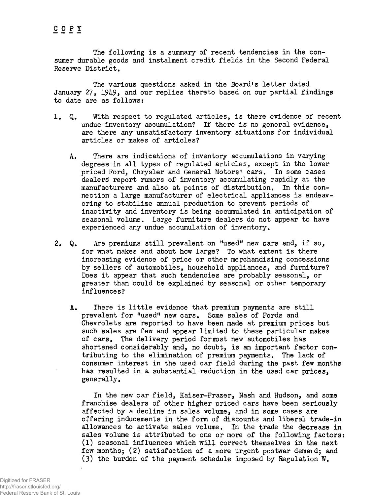The following is a summary of recent tendencies in the consumer durable goods and instalment credit fields in the Second Federal Reserve District.

The various questions asked in the Board's letter dated January 27, 19k9, and our replies thereto based on our partial findings to date are as follows:

- 1. Q. With respect to regulated articles, is there evidence of recent undue inventory accumulation? If there is no general evidence, are there any unsatisfactory inventory situations for individual articles or makes of articles?
	- A. There are indications of inventory accumulations in varying degrees in all types of regulated articles, except in the lower priced Ford, Chrysler and General Motors' cars. In some cases dealers report rumors of inventory accumulating rapidly at the manufacturers and also at points of distribution. In this connection a large manufacturer of electrical appliances is endeavoring to stabilize annual production to prevent periods of inactivity and inventory is being accumulated in anticipation of seasonal volume. Large furniture dealers do not appear to have experienced any undue accumulation of inventory.
- 2, Q. Are premiums still prevalent on "used" new cars and, if so, for what makes and about how large? To what extent is there increasing evidence of price or other merchandising concessions by sellers of automobiles, household appliances, and furniture? Does it appear that such tendencies are probably seasonal, or greater than could be explained by seasonal or other temporary influences?
	- A. There is little evidence that premium payments are still prevalent for "used" new cars. Some sales of Fords and Chevrolets are reported to have been made at premium prices but such sales are few and appear limited to these particular makes of cars. The delivery period fornost new automobiles has shortened considerably and, no doubt, is an important factor contributing to the elimination of premium payments. The lack of consumer interest in the used car field during the past few months has resulted in a substantial reduction in the used car prices, generally.

In the new car field, Kaiser-Frazer, Nash and Hudson, and some franchise dealers of other higher priced cars have been seriously affected by a decline in sales volume, and in some cases are offering inducements in the form of discounts and liberal trade-in allowances to activate sales volume. In the trade the decrease in sales volume is attributed to one or more of the following factors: (1) seasonal influences which will correct themselves in the next few months; (2) satisfaction of a more urgent postwar demand; and (3) the burden of the payment schedule imposed by Regulation W.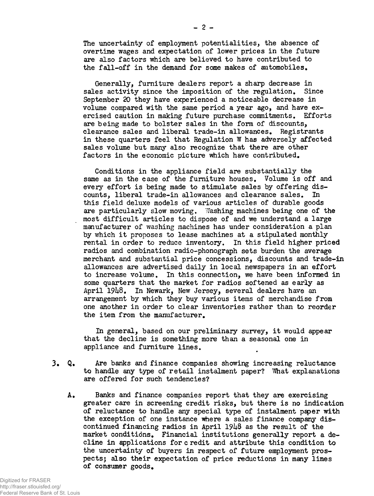The uncertainty of employment potentialities, the absence of overtime wages and expectation of lower prices in the future are also factors which are believed to have contributed to the fall-off in the demand for some makes of automobiles.

Generally, furniture dealers report a sharp decrease in sales activity since the imposition of the regulation. Since September 20 they have experienced a noticeable decrease in volume compared with the same period a year ago, and have exercised caution in making future purchase commitments. Efforts are being made to bolster sales in the form of discounts, clearance sales and liberal trade-in allowances. Registrants in these quarters feel that Regulation W has adversely affected sales volume but many also recognize that there are other factors in the economic picture which have contributed.

Conditions in the appliance field are substantially the same as in the case of the furniture houses. Volume is off and every effort is being made to stimulate sales by offering discounts, liberal trade-in allowances and clearance sales. In this field deluxe models of various articles of durable goods are particularly slow moving. Washing machines being one of the most difficult articles to dispose of and we understand a large manufacturer of washing machines has under consideration a plan by which it proposes to lease machines at a stipulated monthly rental in order to reduce inventory. In this field higher priced radios and combination radio-phonograph sets burden the average merchant and substantial price concessions, discounts and trade-in allowances are advertised daily in local newspapers in an effort to increase volume. In this connection, we have been informed in some quarters that the market for radios softened as early as April 1948. In Newark, New Jersey, several dealers have an arrangement by which they buy various items of merchandise from one another in order to clear inventories rather than to reorder the item from the manufacturer.

In general, based on our preliminary survey, it would appear that the decline is something more than a seasonal one in appliance and furniture lines.

- 3« Q. Are banks and finance companies showing increasing reluctance to handle any type of retail instalment paper? What explanations are offered for such tendencies?
	- A. Banks and finance companies report that they are exercising greater care in screening credit risks, but there is no indication of reluctance to handle any special type of instalment p^per with the exception of one instance where a sales finance company discontinued financing radios in April 1948 as the result of the market conditions. Financial institutions generally report a decline in applications for c redit and attribute this condition to the uncertainty of buyers in respect of future employment prospects; also their expectation of price reductions in many lines of consumer goods.